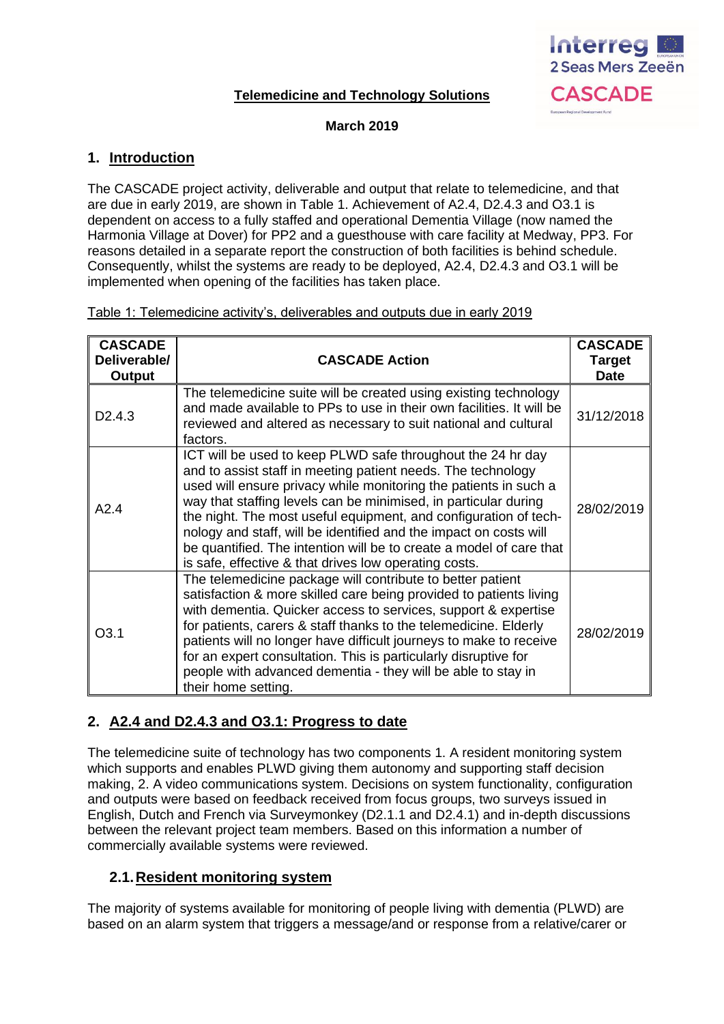# **Telemedicine and Technology Solutions**



#### **March 2019**

## **1. Introduction**

The CASCADE project activity, deliverable and output that relate to telemedicine, and that are due in early 2019, are shown in Table 1. Achievement of A2.4, D2.4.3 and O3.1 is dependent on access to a fully staffed and operational Dementia Village (now named the Harmonia Village at Dover) for PP2 and a guesthouse with care facility at Medway, PP3. For reasons detailed in a separate report the construction of both facilities is behind schedule. Consequently, whilst the systems are ready to be deployed, A2.4, D2.4.3 and O3.1 will be implemented when opening of the facilities has taken place.

| <b>CASCADE</b><br>Deliverable/<br><b>Output</b> | <b>CASCADE Action</b>                                                                                                                                                                                                                                                                                                                                                                                                                                                                                                                       | <b>CASCADE</b><br><b>Target</b><br><b>Date</b> |
|-------------------------------------------------|---------------------------------------------------------------------------------------------------------------------------------------------------------------------------------------------------------------------------------------------------------------------------------------------------------------------------------------------------------------------------------------------------------------------------------------------------------------------------------------------------------------------------------------------|------------------------------------------------|
| D <sub>2</sub> .4.3                             | The telemedicine suite will be created using existing technology<br>and made available to PPs to use in their own facilities. It will be<br>reviewed and altered as necessary to suit national and cultural<br>factors.                                                                                                                                                                                                                                                                                                                     | 31/12/2018                                     |
| A2.4                                            | ICT will be used to keep PLWD safe throughout the 24 hr day<br>and to assist staff in meeting patient needs. The technology<br>used will ensure privacy while monitoring the patients in such a<br>way that staffing levels can be minimised, in particular during<br>the night. The most useful equipment, and configuration of tech-<br>nology and staff, will be identified and the impact on costs will<br>be quantified. The intention will be to create a model of care that<br>is safe, effective & that drives low operating costs. | 28/02/2019                                     |
| O <sub>3.1</sub>                                | The telemedicine package will contribute to better patient<br>satisfaction & more skilled care being provided to patients living<br>with dementia. Quicker access to services, support & expertise<br>for patients, carers & staff thanks to the telemedicine. Elderly<br>patients will no longer have difficult journeys to make to receive<br>for an expert consultation. This is particularly disruptive for<br>people with advanced dementia - they will be able to stay in<br>their home setting.                                      | 28/02/2019                                     |

### Table 1: Telemedicine activity's, deliverables and outputs due in early 2019

# **2. A2.4 and D2.4.3 and O3.1: Progress to date**

The telemedicine suite of technology has two components 1. A resident monitoring system which supports and enables PLWD giving them autonomy and supporting staff decision making, 2. A video communications system. Decisions on system functionality, configuration and outputs were based on feedback received from focus groups, two surveys issued in English, Dutch and French via Surveymonkey (D2.1.1 and D2.4.1) and in-depth discussions between the relevant project team members. Based on this information a number of commercially available systems were reviewed.

# **2.1.Resident monitoring system**

The majority of systems available for monitoring of people living with dementia (PLWD) are based on an alarm system that triggers a message/and or response from a relative/carer or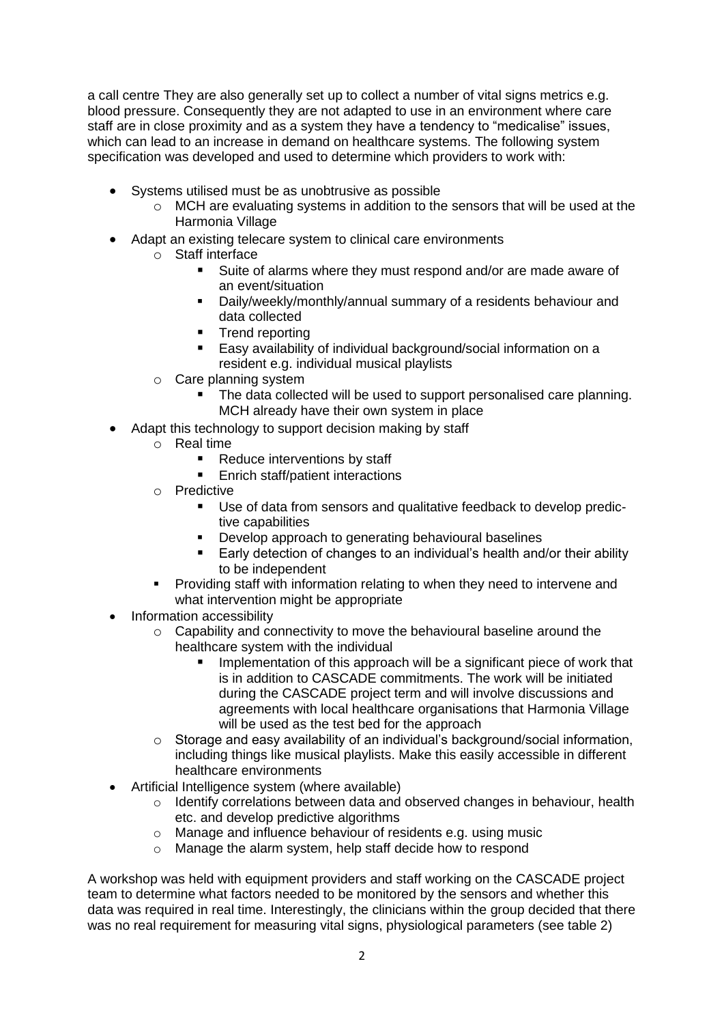a call centre They are also generally set up to collect a number of vital signs metrics e.g. blood pressure. Consequently they are not adapted to use in an environment where care staff are in close proximity and as a system they have a tendency to "medicalise" issues, which can lead to an increase in demand on healthcare systems. The following system specification was developed and used to determine which providers to work with:

- Systems utilised must be as unobtrusive as possible
	- $\circ$  MCH are evaluating systems in addition to the sensors that will be used at the Harmonia Village
- Adapt an existing telecare system to clinical care environments
	- o Staff interface
		- Suite of alarms where they must respond and/or are made aware of an event/situation
		- Daily/weekly/monthly/annual summary of a residents behaviour and data collected
		- Trend reporting<br>■ Fasy availability
		- Easy availability of individual background/social information on a resident e.g. individual musical playlists
	- o Care planning system
		- The data collected will be used to support personalised care planning. MCH already have their own system in place
- Adapt this technology to support decision making by staff
	- o Real time
		- Reduce interventions by staff
		- Enrich staff/patient interactions
	- o Predictive
		- Use of data from sensors and qualitative feedback to develop predictive capabilities
		- Develop approach to generating behavioural baselines
		- Early detection of changes to an individual's health and/or their ability to be independent
	- Providing staff with information relating to when they need to intervene and what intervention might be appropriate
- Information accessibility
	- $\circ$  Capability and connectivity to move the behavioural baseline around the healthcare system with the individual
		- Implementation of this approach will be a significant piece of work that is in addition to CASCADE commitments. The work will be initiated during the CASCADE project term and will involve discussions and agreements with local healthcare organisations that Harmonia Village will be used as the test bed for the approach
	- o Storage and easy availability of an individual's background/social information, including things like musical playlists. Make this easily accessible in different healthcare environments
- Artificial Intelligence system (where available)
	- $\circ$  Identify correlations between data and observed changes in behaviour, health etc. and develop predictive algorithms
	- o Manage and influence behaviour of residents e.g. using music
	- o Manage the alarm system, help staff decide how to respond

A workshop was held with equipment providers and staff working on the CASCADE project team to determine what factors needed to be monitored by the sensors and whether this data was required in real time. Interestingly, the clinicians within the group decided that there was no real requirement for measuring vital signs, physiological parameters (see table 2)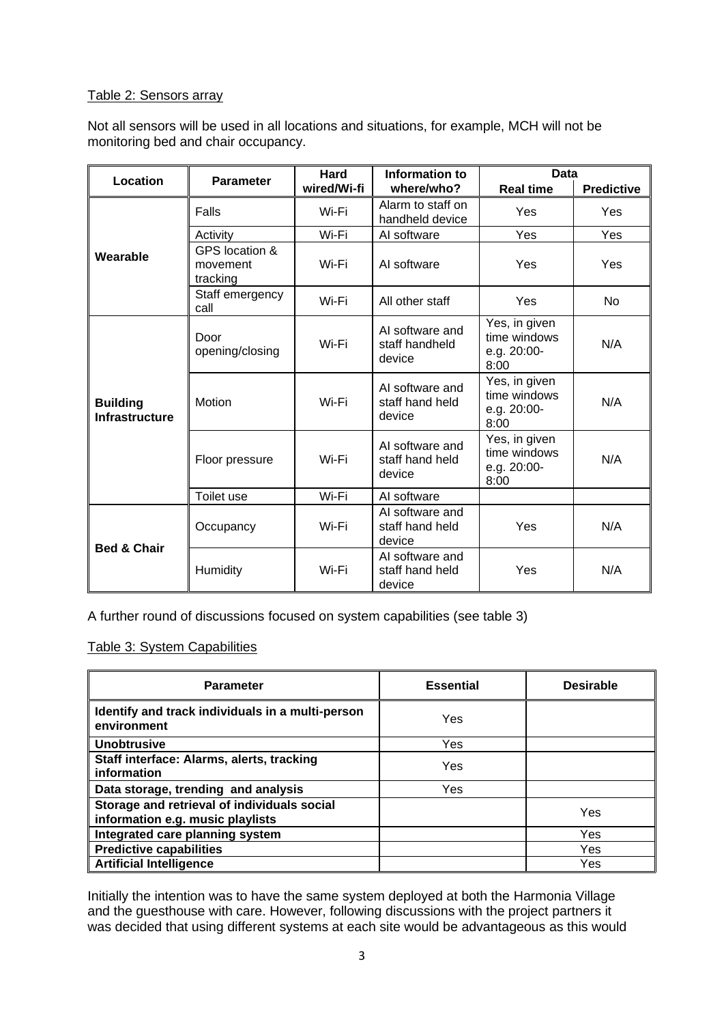## Table 2: Sensors array

Not all sensors will be used in all locations and situations, for example, MCH will not be monitoring bed and chair occupancy.

| Location                                 | <b>Parameter</b>                       | <b>Hard</b><br>wired/Wi-fi | Information to<br>where/who?                 | Data                                                 |                   |
|------------------------------------------|----------------------------------------|----------------------------|----------------------------------------------|------------------------------------------------------|-------------------|
|                                          |                                        |                            |                                              | <b>Real time</b>                                     | <b>Predictive</b> |
| Wearable                                 | Falls                                  | Wi-Fi                      | Alarm to staff on<br>handheld device         | Yes                                                  | Yes               |
|                                          | Activity                               | Wi-Fi                      | AI software                                  | Yes                                                  | Yes               |
|                                          | GPS location &<br>movement<br>tracking | Wi-Fi                      | AI software                                  | Yes                                                  | Yes               |
|                                          | Staff emergency<br>call                | Wi-Fi                      | All other staff                              | Yes                                                  | <b>No</b>         |
| <b>Building</b><br><b>Infrastructure</b> | Door<br>opening/closing                | Wi-Fi                      | AI software and<br>staff handheld<br>device  | Yes, in given<br>time windows<br>e.g. 20:00-<br>8:00 | N/A               |
|                                          | Motion                                 | Wi-Fi                      | AI software and<br>staff hand held<br>device | Yes, in given<br>time windows<br>e.g. 20:00-<br>8:00 | N/A               |
|                                          | Floor pressure                         | Wi-Fi                      | AI software and<br>staff hand held<br>device | Yes, in given<br>time windows<br>e.g. 20:00-<br>8:00 | N/A               |
|                                          | Toilet use                             | Wi-Fi                      | AI software                                  |                                                      |                   |
| <b>Bed &amp; Chair</b>                   | Occupancy                              | Wi-Fi                      | AI software and<br>staff hand held<br>device | Yes                                                  | N/A               |
|                                          | Humidity                               | Wi-Fi                      | AI software and<br>staff hand held<br>device | Yes                                                  | N/A               |

A further round of discussions focused on system capabilities (see table 3)

Table 3: System Capabilities

| <b>Parameter</b>                                                                | <b>Essential</b> | <b>Desirable</b> |
|---------------------------------------------------------------------------------|------------------|------------------|
| Identify and track individuals in a multi-person<br>environment                 | Yes              |                  |
| <b>Unobtrusive</b>                                                              | Yes              |                  |
| Staff interface: Alarms, alerts, tracking<br>information                        | Yes              |                  |
| Data storage, trending and analysis                                             | Yes              |                  |
| Storage and retrieval of individuals social<br>information e.g. music playlists |                  | Yes              |
| Integrated care planning system                                                 |                  | Yes              |
| <b>Predictive capabilities</b>                                                  |                  | Yes              |
| <b>Artificial Intelligence</b>                                                  |                  | Yes              |

Initially the intention was to have the same system deployed at both the Harmonia Village and the guesthouse with care. However, following discussions with the project partners it was decided that using different systems at each site would be advantageous as this would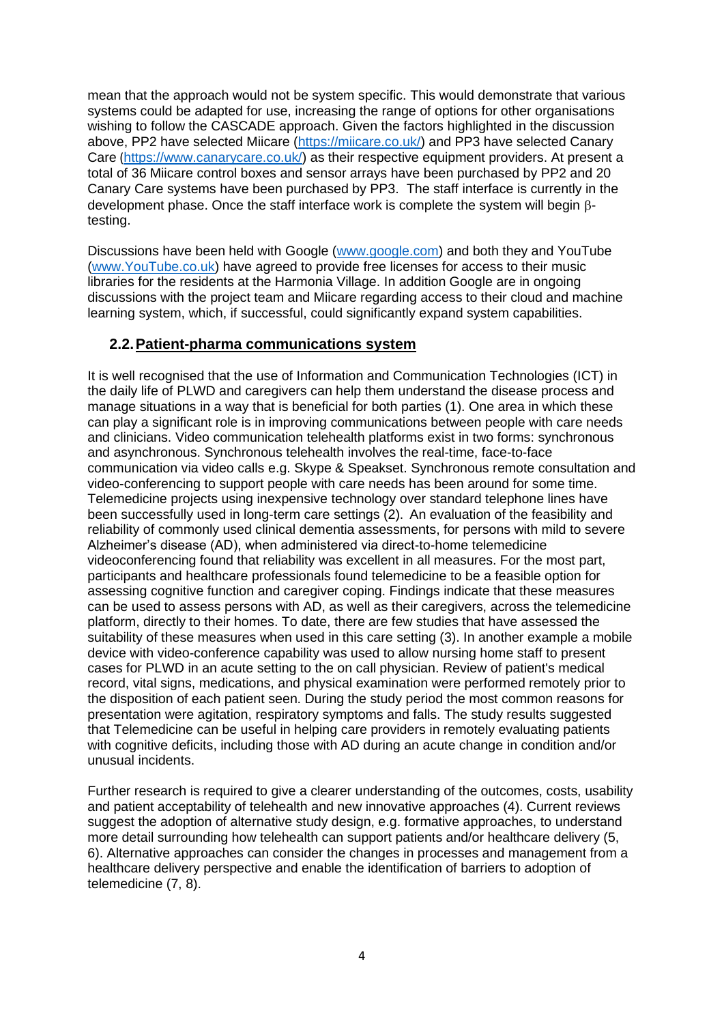mean that the approach would not be system specific. This would demonstrate that various systems could be adapted for use, increasing the range of options for other organisations wishing to follow the CASCADE approach. Given the factors highlighted in the discussion above, PP2 have selected Miicare [\(https://miicare.co.uk/\)](https://miicare.co.uk/) and PP3 have selected Canary Care ([https://www.canarycare.co.uk/\)](https://www.canarycare.co.uk/) as their respective equipment providers. At present a total of 36 Miicare control boxes and sensor arrays have been purchased by PP2 and 20 Canary Care systems have been purchased by PP3. The staff interface is currently in the development phase. Once the staff interface work is complete the system will begin  $\beta$ testing.

Discussions have been held with Google [\(www.google.com\)](http://www.google.com/) and both they and YouTube [\(www.YouTube.co.uk\)](http://www.youtube.co.uk/) have agreed to provide free licenses for access to their music libraries for the residents at the Harmonia Village. In addition Google are in ongoing discussions with the project team and Miicare regarding access to their cloud and machine learning system, which, if successful, could significantly expand system capabilities.

## **2.2.Patient-pharma communications system**

It is well recognised that the use of Information and Communication Technologies (ICT) in the daily life of PLWD and caregivers can help them understand the disease process and manage situations in a way that is beneficial for both parties (1). One area in which these can play a significant role is in improving communications between people with care needs and clinicians. Video communication telehealth platforms exist in two forms: synchronous and asynchronous. Synchronous telehealth involves the real-time, face-to-face communication via video calls e.g. Skype & Speakset. Synchronous remote consultation and video-conferencing to support people with care needs has been around for some time. Telemedicine projects using inexpensive technology over standard telephone lines have been successfully used in long-term care settings (2). An evaluation of the feasibility and reliability of commonly used clinical dementia assessments, for persons with mild to severe Alzheimer's disease (AD), when administered via direct-to-home telemedicine videoconferencing found that reliability was excellent in all measures. For the most part, participants and healthcare professionals found telemedicine to be a feasible option for assessing cognitive function and caregiver coping. Findings indicate that these measures can be used to assess persons with AD, as well as their caregivers, across the telemedicine platform, directly to their homes. To date, there are few studies that have assessed the suitability of these measures when used in this care setting (3). In another example a mobile device with video-conference capability was used to allow nursing home staff to present cases for PLWD in an acute setting to the on call physician. Review of patient's medical record, vital signs, medications, and physical examination were performed remotely prior to the disposition of each patient seen. During the study period the most common reasons for presentation were agitation, respiratory symptoms and falls. The study results suggested that Telemedicine can be useful in helping care providers in remotely evaluating patients with cognitive deficits, including those with AD during an acute change in condition and/or unusual incidents.

Further research is required to give a clearer understanding of the outcomes, costs, usability and patient acceptability of telehealth and new innovative approaches (4). Current reviews suggest the adoption of alternative study design, e.g. formative approaches, to understand more detail surrounding how telehealth can support patients and/or healthcare delivery (5, 6). Alternative approaches can consider the changes in processes and management from a healthcare delivery perspective and enable the identification of barriers to adoption of telemedicine (7, 8).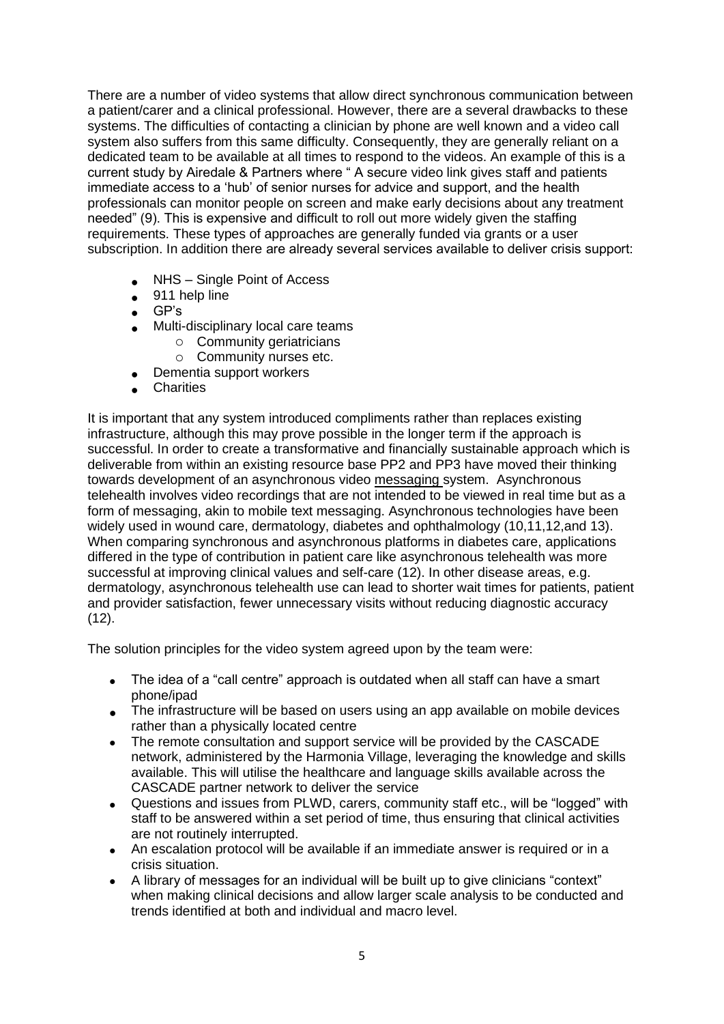There are a number of video systems that allow direct synchronous communication between a patient/carer and a clinical professional. However, there are a several drawbacks to these systems. The difficulties of contacting a clinician by phone are well known and a video call system also suffers from this same difficulty. Consequently, they are generally reliant on a dedicated team to be available at all times to respond to the videos. An example of this is a current study by Airedale & Partners where " A secure video link gives staff and patients immediate access to a 'hub' of senior nurses for advice and support, and the health professionals can monitor people on screen and make early decisions about any treatment needed" (9). This is expensive and difficult to roll out more widely given the staffing requirements. These types of approaches are generally funded via grants or a user subscription. In addition there are already several services available to deliver crisis support:

- NHS Single Point of Access
- 911 help line
- GP's
- Multi-disciplinary local care teams
	- o Community geriatricians
	- o Community nurses etc.
	- Dementia support workers
- **Charities**

It is important that any system introduced compliments rather than replaces existing infrastructure, although this may prove possible in the longer term if the approach is successful. In order to create a transformative and financially sustainable approach which is deliverable from within an existing resource base PP2 and PP3 have moved their thinking towards development of an asynchronous video messaging system. Asynchronous telehealth involves video recordings that are not intended to be viewed in real time but as a form of messaging, akin to mobile text messaging. Asynchronous technologies have been widely used in wound care, dermatology, diabetes and ophthalmology (10,11,12,and 13). When comparing synchronous and asynchronous platforms in diabetes care, applications differed in the type of contribution in patient care like asynchronous telehealth was more successful at improving clinical values and self-care (12). In other disease areas, e.g. dermatology, asynchronous telehealth use can lead to shorter wait times for patients, patient and provider satisfaction, fewer unnecessary visits without reducing diagnostic accuracy (12).

The solution principles for the video system agreed upon by the team were:

- The idea of a "call centre" approach is outdated when all staff can have a smart phone/ipad
- The infrastructure will be based on users using an app available on mobile devices rather than a physically located centre
- The remote consultation and support service will be provided by the CASCADE network, administered by the Harmonia Village, leveraging the knowledge and skills available. This will utilise the healthcare and language skills available across the CASCADE partner network to deliver the service
- Questions and issues from PLWD, carers, community staff etc., will be "logged" with staff to be answered within a set period of time, thus ensuring that clinical activities are not routinely interrupted.
- An escalation protocol will be available if an immediate answer is required or in a crisis situation.
- A library of messages for an individual will be built up to give clinicians "context" when making clinical decisions and allow larger scale analysis to be conducted and trends identified at both and individual and macro level.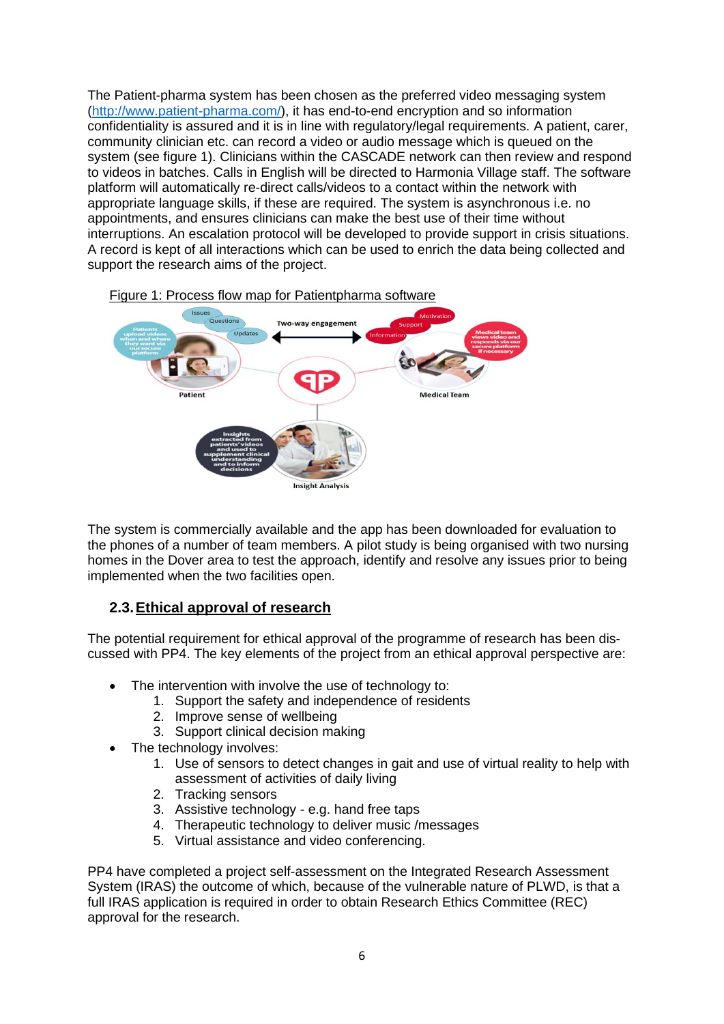The Patient-pharma system has been chosen as the preferred video messaging system [\(http://www.patient-pharma.com/\)](http://www.patient-pharma.com/), it has end-to-end encryption and so information confidentiality is assured and it is in line with regulatory/legal requirements. A patient, carer, community clinician etc. can record a video or audio message which is queued on the system (see figure 1). Clinicians within the CASCADE network can then review and respond to videos in batches. Calls in English will be directed to Harmonia Village staff. The software platform will automatically re-direct calls/videos to a contact within the network with appropriate language skills, if these are required. The system is asynchronous i.e. no appointments, and ensures clinicians can make the best use of their time without interruptions. An escalation protocol will be developed to provide support in crisis situations. A record is kept of all interactions which can be used to enrich the data being collected and support the research aims of the project.



Figure 1: Process flow map for Patientpharma software

The system is commercially available and the app has been downloaded for evaluation to the phones of a number of team members. A pilot study is being organised with two nursing homes in the Dover area to test the approach, identify and resolve any issues prior to being implemented when the two facilities open.

# **2.3.Ethical approval of research**

The potential requirement for ethical approval of the programme of research has been discussed with PP4. The key elements of the project from an ethical approval perspective are:

- The intervention with involve the use of technology to:
	- 1. Support the safety and independence of residents
	- 2. Improve sense of wellbeing
	- 3. Support clinical decision making
- The technology involves:
	- 1. Use of sensors to detect changes in gait and use of virtual reality to help with assessment of activities of daily living
	- 2. Tracking sensors
	- 3. Assistive technology e.g. hand free taps
	- 4. Therapeutic technology to deliver music /messages
	- 5. Virtual assistance and video conferencing.

PP4 have completed a project self-assessment on the Integrated Research Assessment System (IRAS) the outcome of which, because of the vulnerable nature of PLWD, is that a full IRAS application is required in order to obtain Research Ethics Committee (REC) approval for the research.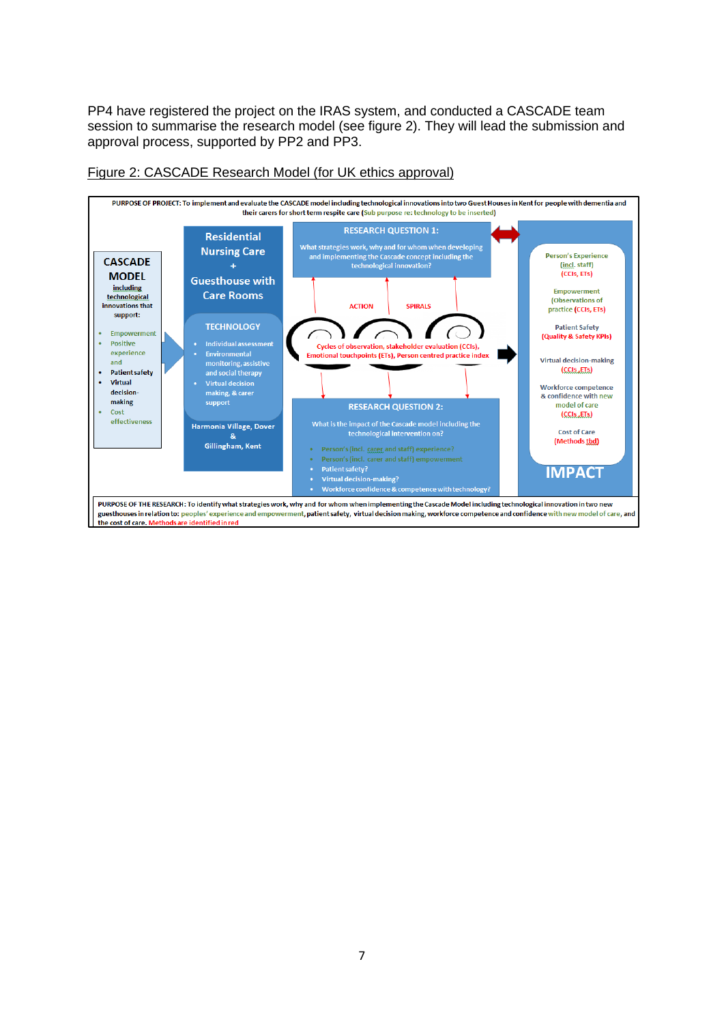PP4 have registered the project on the IRAS system, and conducted a CASCADE team session to summarise the research model (see figure 2). They will lead the submission and approval process, supported by PP2 and PP3.



#### Figure 2: CASCADE Research Model (for UK ethics approval)